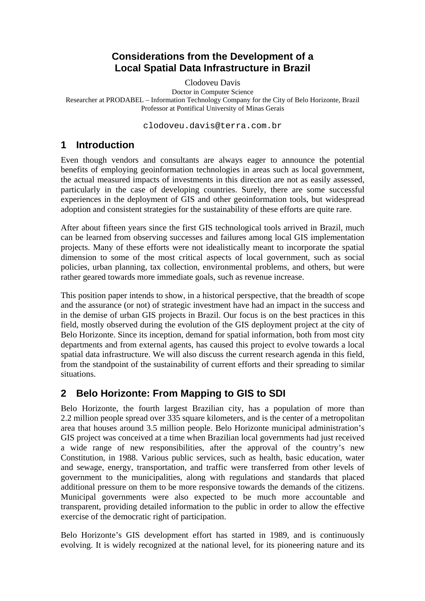### **Considerations from the Development of a Local Spatial Data Infrastructure in Brazil**

Clodoveu Davis

Doctor in Computer Science Researcher at PRODABEL – Information Technology Company for the City of Belo Horizonte, Brazil Professor at Pontifical University of Minas Gerais

clodoveu.davis@terra.com.br

#### **1 Introduction**

Even though vendors and consultants are always eager to announce the potential benefits of employing geoinformation technologies in areas such as local government, the actual measured impacts of investments in this direction are not as easily assessed, particularly in the case of developing countries. Surely, there are some successful experiences in the deployment of GIS and other geoinformation tools, but widespread adoption and consistent strategies for the sustainability of these efforts are quite rare.

After about fifteen years since the first GIS technological tools arrived in Brazil, much can be learned from observing successes and failures among local GIS implementation projects. Many of these efforts were not idealistically meant to incorporate the spatial dimension to some of the most critical aspects of local government, such as social policies, urban planning, tax collection, environmental problems, and others, but were rather geared towards more immediate goals, such as revenue increase.

This position paper intends to show, in a historical perspective, that the breadth of scope and the assurance (or not) of strategic investment have had an impact in the success and in the demise of urban GIS projects in Brazil. Our focus is on the best practices in this field, mostly observed during the evolution of the GIS deployment project at the city of Belo Horizonte. Since its inception, demand for spatial information, both from most city departments and from external agents, has caused this project to evolve towards a local spatial data infrastructure. We will also discuss the current research agenda in this field, from the standpoint of the sustainability of current efforts and their spreading to similar situations.

# **2 Belo Horizonte: From Mapping to GIS to SDI**

Belo Horizonte, the fourth largest Brazilian city, has a population of more than 2.2 million people spread over 335 square kilometers, and is the center of a metropolitan area that houses around 3.5 million people. Belo Horizonte municipal administration's GIS project was conceived at a time when Brazilian local governments had just received a wide range of new responsibilities, after the approval of the country's new Constitution, in 1988. Various public services, such as health, basic education, water and sewage, energy, transportation, and traffic were transferred from other levels of government to the municipalities, along with regulations and standards that placed additional pressure on them to be more responsive towards the demands of the citizens. Municipal governments were also expected to be much more accountable and transparent, providing detailed information to the public in order to allow the effective exercise of the democratic right of participation.

Belo Horizonte's GIS development effort has started in 1989, and is continuously evolving. It is widely recognized at the national level, for its pioneering nature and its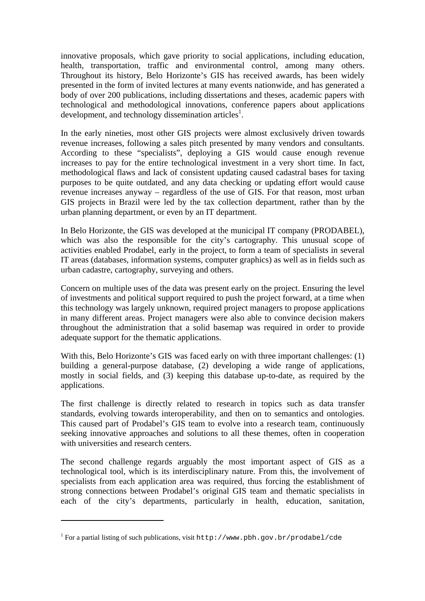innovative proposals, which gave priority to social applications, including education, health, transportation, traffic and environmental control, among many others. Throughout its history, Belo Horizonte's GIS has received awards, has been widely presented in the form of invited lectures at many events nationwide, and has generated a body of over 200 publications, including dissertations and theses, academic papers with technological and methodological innovations, conference papers about applications development, and technology dissemination articles<sup>1</sup>.

In the early nineties, most other GIS projects were almost exclusively driven towards revenue increases, following a sales pitch presented by many vendors and consultants. According to these "specialists", deploying a GIS would cause enough revenue increases to pay for the entire technological investment in a very short time. In fact, methodological flaws and lack of consistent updating caused cadastral bases for taxing purposes to be quite outdated, and any data checking or updating effort would cause revenue increases anyway – regardless of the use of GIS. For that reason, most urban GIS projects in Brazil were led by the tax collection department, rather than by the urban planning department, or even by an IT department.

In Belo Horizonte, the GIS was developed at the municipal IT company (PRODABEL), which was also the responsible for the city's cartography. This unusual scope of activities enabled Prodabel, early in the project, to form a team of specialists in several IT areas (databases, information systems, computer graphics) as well as in fields such as urban cadastre, cartography, surveying and others.

Concern on multiple uses of the data was present early on the project. Ensuring the level of investments and political support required to push the project forward, at a time when this technology was largely unknown, required project managers to propose applications in many different areas. Project managers were also able to convince decision makers throughout the administration that a solid basemap was required in order to provide adequate support for the thematic applications.

With this, Belo Horizonte's GIS was faced early on with three important challenges: (1) building a general-purpose database, (2) developing a wide range of applications, mostly in social fields, and (3) keeping this database up-to-date, as required by the applications.

The first challenge is directly related to research in topics such as data transfer standards, evolving towards interoperability, and then on to semantics and ontologies. This caused part of Prodabel's GIS team to evolve into a research team, continuously seeking innovative approaches and solutions to all these themes, often in cooperation with universities and research centers.

The second challenge regards arguably the most important aspect of GIS as a technological tool, which is its interdisciplinary nature. From this, the involvement of specialists from each application area was required, thus forcing the establishment of strong connections between Prodabel's original GIS team and thematic specialists in each of the city's departments, particularly in health, education, sanitation,

 $\overline{a}$ 

<sup>&</sup>lt;sup>1</sup> For a partial listing of such publications, visit http://www.pbh.gov.br/prodabel/cde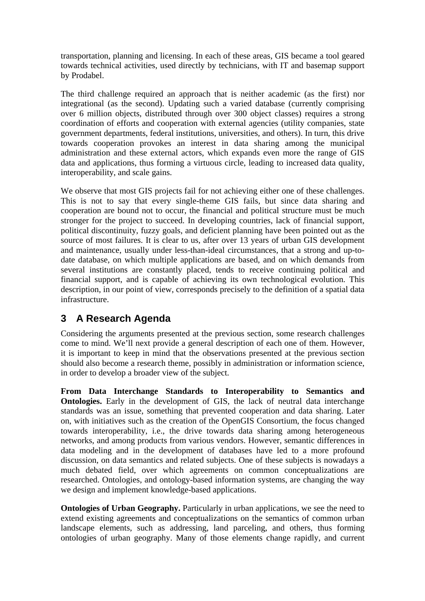transportation, planning and licensing. In each of these areas, GIS became a tool geared towards technical activities, used directly by technicians, with IT and basemap support by Prodabel.

The third challenge required an approach that is neither academic (as the first) nor integrational (as the second). Updating such a varied database (currently comprising over 6 million objects, distributed through over 300 object classes) requires a strong coordination of efforts and cooperation with external agencies (utility companies, state government departments, federal institutions, universities, and others). In turn, this drive towards cooperation provokes an interest in data sharing among the municipal administration and these external actors, which expands even more the range of GIS data and applications, thus forming a virtuous circle, leading to increased data quality, interoperability, and scale gains.

We observe that most GIS projects fail for not achieving either one of these challenges. This is not to say that every single-theme GIS fails, but since data sharing and cooperation are bound not to occur, the financial and political structure must be much stronger for the project to succeed. In developing countries, lack of financial support, political discontinuity, fuzzy goals, and deficient planning have been pointed out as the source of most failures. It is clear to us, after over 13 years of urban GIS development and maintenance, usually under less-than-ideal circumstances, that a strong and up-todate database, on which multiple applications are based, and on which demands from several institutions are constantly placed, tends to receive continuing political and financial support, and is capable of achieving its own technological evolution. This description, in our point of view, corresponds precisely to the definition of a spatial data infrastructure.

# **3 A Research Agenda**

Considering the arguments presented at the previous section, some research challenges come to mind. We'll next provide a general description of each one of them. However, it is important to keep in mind that the observations presented at the previous section should also become a research theme, possibly in administration or information science, in order to develop a broader view of the subject.

**From Data Interchange Standards to Interoperability to Semantics and Ontologies.** Early in the development of GIS, the lack of neutral data interchange standards was an issue, something that prevented cooperation and data sharing. Later on, with initiatives such as the creation of the OpenGIS Consortium, the focus changed towards interoperability, i.e., the drive towards data sharing among heterogeneous networks, and among products from various vendors. However, semantic differences in data modeling and in the development of databases have led to a more profound discussion, on data semantics and related subjects. One of these subjects is nowadays a much debated field, over which agreements on common conceptualizations are researched. Ontologies, and ontology-based information systems, are changing the way we design and implement knowledge-based applications.

**Ontologies of Urban Geography.** Particularly in urban applications, we see the need to extend existing agreements and conceptualizations on the semantics of common urban landscape elements, such as addressing, land parceling, and others, thus forming ontologies of urban geography. Many of those elements change rapidly, and current